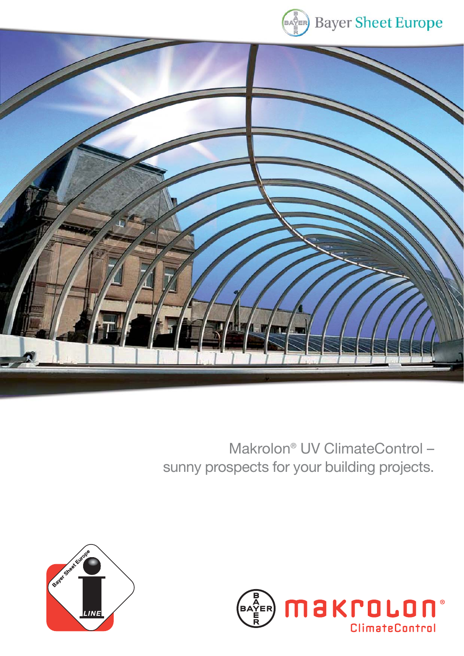



# Makrolon® UV ClimateControl – sunny prospects for your building projects.



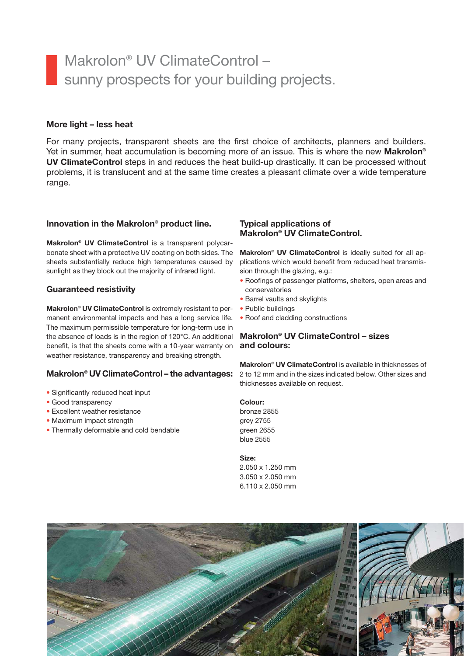## Makrolon® UV ClimateControl – sunny prospects for your building projects.

### **More light – less heat**

For many projects, transparent sheets are the first choice of architects, planners and builders. Yet in summer, heat accumulation is becoming more of an issue. This is where the new **Makrolon® UV ClimateControl** steps in and reduces the heat build-up drastically. It can be processed without problems, it is translucent and at the same time creates a pleasant climate over a wide temperature range.

#### **Innovation in the Makrolon® product line.**

**Makrolon® UV ClimateControl** is a transparent polycarbonate sheet with a protective UV coating on both sides. The sheets substantially reduce high temperatures caused by sunlight as they block out the majority of infrared light.

## **Guaranteed resistivity**

**Makrolon® UV ClimateControl** is extremely resistant to permanent environmental impacts and has a long service life. The maximum permissible temperature for long-term use in the absence of loads is in the region of 120°C. An additional benefit, is that the sheets come with a 10-year warranty on weather resistance, transparency and breaking strength.

## **Makrolon® UV ClimateControl – the advantages:**

- Significantly reduced heat input
- Good transparency
- Excellent weather resistance
- Maximum impact strength
- Thermally deformable and cold bendable

#### **Typical applications of Makrolon® UV ClimateControl.**

**Makrolon® UV ClimateControl** is ideally suited for all applications which would benefit from reduced heat transmission through the glazing, e.g.:

- Roofings of passenger platforms, shelters, open areas and conservatories
- Barrel vaults and skylights
- Public buildings
- Roof and cladding constructions

## **Makrolon® UV ClimateControl – sizes and colours:**

**Makrolon® UV ClimateControl** is available in thicknesses of 2 to 12 mm and in the sizes indicated below. Other sizes and thicknesses available on request.

#### **Colour:**

bronze 2855 grey 2755 green 2655 blue 2555

#### **Size:**

2.050 x 1.250 mm 3.050 x 2.050 mm 6.110 x 2.050 mm

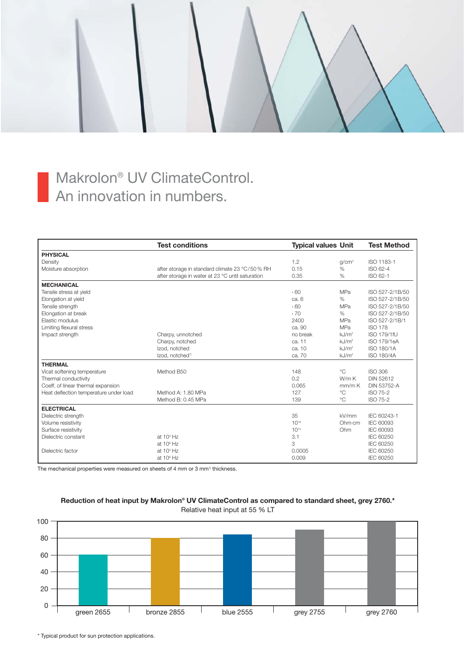## Makrolon® UV ClimateControl. An innovation in numbers.

|                                        | <b>Test conditions</b>                           | <b>Typical values Unit</b> |                   | <b>Test Method</b> |
|----------------------------------------|--------------------------------------------------|----------------------------|-------------------|--------------------|
| <b>PHYSICAL</b>                        |                                                  |                            |                   |                    |
| Density                                |                                                  | 1.2                        | g/cm <sup>3</sup> | ISO 1183-1         |
| Moisture absorption                    | after storage in standard climate 23 °C/50 % RH  | 0.15                       | $\%$              | ISO 62-4           |
|                                        | after storage in water at 23 °C until saturation | 0.35                       | $\%$              | ISO 62-1           |
| <b>MECHANICAL</b>                      |                                                  |                            |                   |                    |
| Tensile stress at yield                |                                                  | 560                        | MPa               | ISO 527-2/1B/50    |
| Elongation at yield                    |                                                  | ca. 6                      | $\%$              | ISO 527-2/1B/50    |
| Tensile strength                       |                                                  | 560                        | MPa               | ISO 527-2/1B/50    |
| Elongation at break                    |                                                  | 570                        | %                 | ISO 527-2/1B/50    |
| Elastic modulus                        |                                                  | 2400                       | MPa               | ISO 527-2/1B/1     |
| Limiting flexural stress               |                                                  | ca. 90                     | MPa               | <b>ISO 178</b>     |
| Impact strength                        | Charpy, unnotched                                | no break                   | kJ/m <sup>2</sup> | ISO 179/1fU        |
|                                        | Charpy, notched                                  | ca. 11                     | kJ/m <sup>2</sup> | <b>ISO 179/1eA</b> |
|                                        | Izod, notched                                    | ca. 10                     | kJ/m <sup>2</sup> | ISO 180/1A         |
|                                        | Izod, notched <sup>1)</sup>                      | ca. 70                     | kJ/m <sup>2</sup> | <b>ISO 180/4A</b>  |
| <b>THERMAL</b>                         |                                                  |                            |                   |                    |
| Vicat softening temperature            | Method B50                                       | 148                        | $^{\circ}C$       | <b>ISO 306</b>     |
| Thermal conductivity                   |                                                  | 0.2                        | W/mK              | <b>DIN 52612</b>   |
| Coeff. of linear thermal expansion     |                                                  | 0.065                      | mm/mK             | <b>DIN 53752-A</b> |
| Heat deflection temperature under load | Method A: 1.80 MPa                               | 127                        | $^{\circ}C$       | <b>ISO 75-2</b>    |
|                                        | Method B: 0.45 MPa                               | 139                        | $^{\circ}C$       | <b>ISO 75-2</b>    |
| <b>ELECTRICAL</b>                      |                                                  |                            |                   |                    |
| Dielectric strength                    |                                                  | 35                         | kV/mm             | IEC 60243-1        |
| Volume resistivity                     |                                                  | $10^{16}$                  | Ohm·cm            | <b>IEC 60093</b>   |
| Surface resistivity                    |                                                  | $10^{14}$                  | Ohm               | <b>IEC 60093</b>   |
| Dielectric constant                    | at $10^3$ Hz                                     | 3.1                        |                   | <b>IEC 60250</b>   |
|                                        | at 10 <sup>6</sup> Hz                            | 3                          |                   | <b>IEC 60250</b>   |
| Dielectric factor                      | at $10^{\circ}$ Hz                               | 0.0005                     |                   | <b>IEC 60250</b>   |
|                                        | at $10^{\circ}$ Hz                               | 0.009                      |                   | <b>IEC 60250</b>   |

The mechanical properties were measured on sheets of 4 mm or 3 mm<sup>1)</sup> thickness.



#### **Reduction of heat input by Makrolon® UV ClimateControl as compared to standard sheet, grey 2760.\*** Relative heat input at 55 % LT

\* Typical product for sun protection applications.